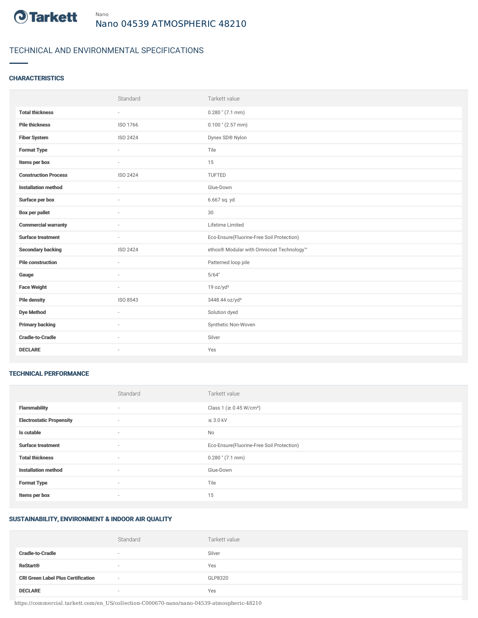

# TECHNICAL AND ENVIRONMENTAL SPECIFICATIONS

## **CHARACTERISTICS**

|                             | Standard                 | Tarkett value                             |
|-----------------------------|--------------------------|-------------------------------------------|
| <b>Total thickness</b>      | $\sim$                   | $0.280$ " (7.1 mm)                        |
| <b>Pile thickness</b>       | ISO 1766                 | $0.100$ " (2.57 mm)                       |
| <b>Fiber System</b>         | ISO 2424                 | Dynex SD® Nylon                           |
| <b>Format Type</b>          | ÷.                       | Tile                                      |
| Items per box               | $\sim$                   | 15                                        |
| <b>Construction Process</b> | ISO 2424                 | TUFTED                                    |
| <b>Installation method</b>  | ×.                       | Glue-Down                                 |
| Surface per box             | $\sim$                   | 6.667 sq. yd                              |
| <b>Box per pallet</b>       | ä,                       | 30                                        |
| <b>Commercial warranty</b>  |                          | Lifetime Limited                          |
| <b>Surface treatment</b>    | $\sim$                   | Eco-Ensure(Fluorine-Free Soil Protection) |
| <b>Secondary backing</b>    | ISO 2424                 | ethos® Modular with Omnicoat Technology™  |
| <b>Pile construction</b>    | ×.                       | Patterned loop pile                       |
| Gauge                       |                          | 5/64"                                     |
| <b>Face Weight</b>          | $\overline{\phantom{a}}$ | 19 oz/yd <sup>2</sup>                     |
| <b>Pile density</b>         | ISO 8543                 | 3448.44 oz/yd <sup>3</sup>                |
| <b>Dye Method</b>           | $\sim$                   | Solution dyed                             |
| <b>Primary backing</b>      |                          | Synthetic Non-Woven                       |
| <b>Cradle-to-Cradle</b>     | $\sim$                   | Silver                                    |
| <b>DECLARE</b>              | ٠                        | Yes                                       |

#### TECHNICAL PERFORMANCE

|                                 | Standard                 | Tarkett value                             |
|---------------------------------|--------------------------|-------------------------------------------|
| <b>Flammability</b>             | ۰                        | Class 1 (≥ 0.45 W/cm <sup>2</sup> )       |
| <b>Electrostatic Propensity</b> | $\sim$                   | $\leq$ 3.0 kV                             |
| Is cutable                      | $\overline{\phantom{a}}$ | No                                        |
| <b>Surface treatment</b>        | $\sim$                   | Eco-Ensure(Fluorine-Free Soil Protection) |
| <b>Total thickness</b>          | $\sim$                   | $0.280$ " (7.1 mm)                        |
| <b>Installation method</b>      | $\sim$                   | Glue-Down                                 |
| <b>Format Type</b>              | $\sim$                   | Tile                                      |
| Items per box                   | ۰                        | 15                                        |

## SUSTAINABILITY, ENVIRONMENT & INDOOR AIR QUALITY

|                                           | Standard | Tarkett value |
|-------------------------------------------|----------|---------------|
| <b>Cradle-to-Cradle</b>                   | $\sim$   | Silver        |
| <b>ReStart<sup>®</sup></b>                | $\sim$   | Yes           |
| <b>CRI Green Label Plus Certification</b> | $\sim$   | GLP8320       |
| <b>DECLARE</b>                            | $\sim$   | Yes           |

https://commercial.tarkett.com/en\_US/collection-C000670-nano/nano-04539-atmospheric-48210